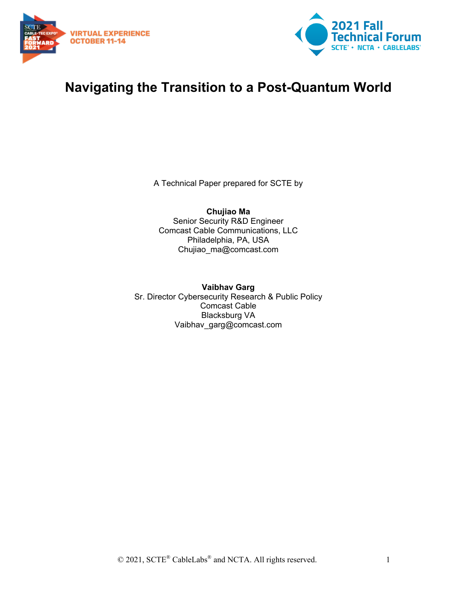



# **Navigating the Transition to a Post-Quantum World**

A Technical Paper prepared for SCTE by

**Chujiao Ma** Senior Security R&D Engineer Comcast Cable Communications, LLC Philadelphia, PA, USA Chujiao\_ma@comcast.com

**Vaibhav Garg** Sr. Director Cybersecurity Research & Public Policy Comcast Cable Blacksburg VA Vaibhav\_garg@comcast.com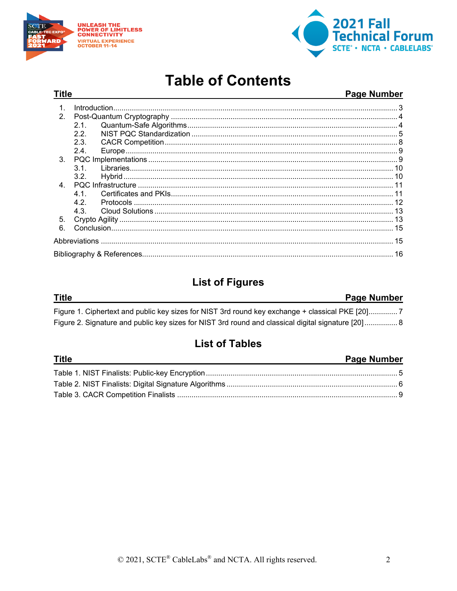

 $\frac{1}{2}$ 



 $\blacksquare$ 

 $\sim 1$ 

 $\ddot{\phantom{a}}$ 

# **Table of Contents**

| <b>Title</b>   |                  |  | <b>Page Number</b> |
|----------------|------------------|--|--------------------|
| $\mathbf{1}$   |                  |  |                    |
| $\mathcal{P}$  |                  |  |                    |
|                | 2.1              |  |                    |
|                | 22               |  |                    |
|                | 2.3.             |  |                    |
|                | 2.4              |  |                    |
| $3_{-}$        |                  |  |                    |
|                | 3 <sub>1</sub>   |  |                    |
|                | 3.2 <sub>1</sub> |  |                    |
| $\overline{4}$ |                  |  |                    |
|                | 41               |  |                    |
|                | 42               |  |                    |
|                | 4.3              |  |                    |
| 5.             |                  |  |                    |
| 6              |                  |  |                    |
|                |                  |  |                    |
|                |                  |  |                    |

# **List of Figures**

| Title                                                                                               | <b>Page Number</b> |
|-----------------------------------------------------------------------------------------------------|--------------------|
| Figure 1. Ciphertext and public key sizes for NIST 3rd round key exchange + classical PKE [20]      |                    |
| Figure 2. Signature and public key sizes for NIST 3rd round and classical digital signature [20]  8 |                    |

# **List of Tables**

| l itle | <b>Page Number</b> |
|--------|--------------------|
|        |                    |
|        |                    |
|        |                    |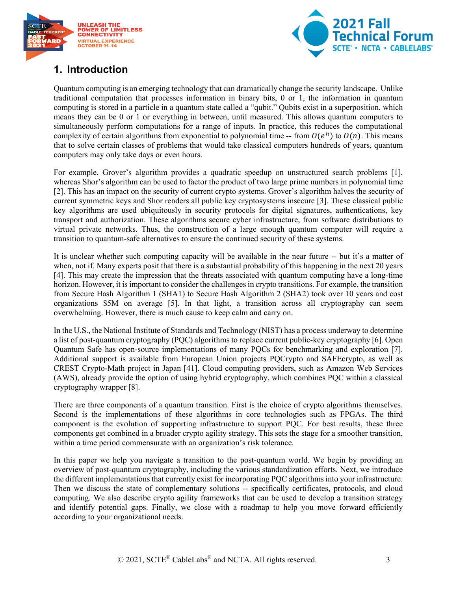



# <span id="page-2-0"></span>**1. Introduction**

Quantum computing is an emerging technology that can dramatically change the security landscape. Unlike traditional computation that processes information in binary bits, 0 or 1, the information in quantum computing is stored in a particle in a quantum state called a "qubit." Qubits exist in a superposition, which means they can be 0 or 1 or everything in between, until measured. This allows quantum computers to simultaneously perform computations for a range of inputs. In practice, this reduces the computational complexity of certain algorithms from exponential to polynomial time -- from  $O(e^n)$  to  $O(n)$ . This means that to solve certain classes of problems that would take classical computers hundreds of years, quantum computers may only take days or even hours.

For example, Grover's algorithm provides a quadratic speedup on unstructured search problems [1], whereas Shor's algorithm can be used to factor the product of two large prime numbers in polynomial time [2]. This has an impact on the security of current crypto systems. Grover's algorithm halves the security of current symmetric keys and Shor renders all public key cryptosystems insecure [3]. These classical public key algorithms are used ubiquitously in security protocols for digital signatures, authentications, key transport and authorization. These algorithms secure cyber infrastructure, from software distributions to virtual private networks. Thus, the construction of a large enough quantum computer will require a transition to quantum-safe alternatives to ensure the continued security of these systems.

It is unclear whether such computing capacity will be available in the near future -- but it's a matter of when, not if. Many experts posit that there is a substantial probability of this happening in the next 20 years [4]. This may create the impression that the threats associated with quantum computing have a long-time horizon. However, it is important to consider the challenges in crypto transitions. For example, the transition from Secure Hash Algorithm 1 (SHA1) to Secure Hash Algorithm 2 (SHA2) took over 10 years and cost organizations \$5M on average [5]. In that light, a transition across all cryptography can seem overwhelming. However, there is much cause to keep calm and carry on.

In the U.S., the National Institute of Standards and Technology (NIST) has a process underway to determine a list of post-quantum cryptography (PQC) algorithms to replace current public-key cryptography [6]. Open Quantum Safe has open-source implementations of many PQCs for benchmarking and exploration [7]. Additional support is available from European Union projects PQCrypto and SAFEcrypto, as well as CREST Crypto-Math project in Japan [41]. Cloud computing providers, such as Amazon Web Services (AWS), already provide the option of using hybrid cryptography, which combines PQC within a classical cryptography wrapper [8].

There are three components of a quantum transition. First is the choice of crypto algorithms themselves. Second is the implementations of these algorithms in core technologies such as FPGAs. The third component is the evolution of supporting infrastructure to support PQC. For best results, these three components get combined in a broader crypto agility strategy. This sets the stage for a smoother transition, within a time period commensurate with an organization's risk tolerance.

In this paper we help you navigate a transition to the post-quantum world. We begin by providing an overview of post-quantum cryptography, including the various standardization efforts. Next, we introduce the different implementations that currently exist for incorporating PQC algorithms into your infrastructure. Then we discuss the state of complementary solutions -- specifically certificates, protocols, and cloud computing. We also describe crypto agility frameworks that can be used to develop a transition strategy and identify potential gaps. Finally, we close with a roadmap to help you move forward efficiently according to your organizational needs.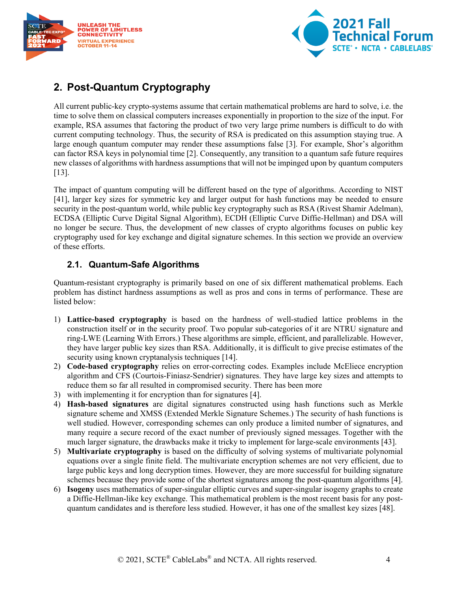



# <span id="page-3-0"></span>**2. Post-Quantum Cryptography**

All current public-key crypto-systems assume that certain mathematical problems are hard to solve, i.e. the time to solve them on classical computers increases exponentially in proportion to the size of the input. For example, RSA assumes that factoring the product of two very large prime numbers is difficult to do with current computing technology. Thus, the security of RSA is predicated on this assumption staying true. A large enough quantum computer may render these assumptions false [3]. For example, Shor's algorithm can factor RSA keys in polynomial time [2]. Consequently, any transition to a quantum safe future requires new classes of algorithms with hardness assumptions that will not be impinged upon by quantum computers [13].

The impact of quantum computing will be different based on the type of algorithms. According to NIST [41], larger key sizes for symmetric key and larger output for hash functions may be needed to ensure security in the post-quantum world, while public key cryptography such as RSA (Rivest Shamir Adelman), ECDSA (Elliptic Curve Digital Signal Algorithm), ECDH (Elliptic Curve Diffie-Hellman) and DSA will no longer be secure. Thus, the development of new classes of crypto algorithms focuses on public key cryptography used for key exchange and digital signature schemes. In this section we provide an overview of these efforts.

## <span id="page-3-1"></span>**2.1. Quantum-Safe Algorithms**

Quantum-resistant cryptography is primarily based on one of six different mathematical problems. Each problem has distinct hardness assumptions as well as pros and cons in terms of performance. These are listed below:

- 1) **Lattice-based cryptography** is based on the hardness of well-studied lattice problems in the construction itself or in the security proof. Two popular sub-categories of it are NTRU signature and ring-LWE (Learning With Errors.) These algorithms are simple, efficient, and parallelizable. However, they have larger public key sizes than RSA. Additionally, it is difficult to give precise estimates of the security using known cryptanalysis techniques [14].
- 2) **Code-based cryptography** relies on error-correcting codes. Examples include McEliece encryption algorithm and CFS (Courtois-Finiasz-Sendrier) signatures. They have large key sizes and attempts to reduce them so far all resulted in compromised security. There has been more
- 3) with implementing it for encryption than for signatures [4].
- 4) **Hash-based signatures** are digital signatures constructed using hash functions such as Merkle signature scheme and XMSS (Extended Merkle Signature Schemes.) The security of hash functions is well studied. However, corresponding schemes can only produce a limited number of signatures, and many require a secure record of the exact number of previously signed messages. Together with the much larger signature, the drawbacks make it tricky to implement for large-scale environments [43].
- 5) **Multivariate cryptography** is based on the difficulty of solving systems of multivariate polynomial equations over a single finite field. The multivariate encryption schemes are not very efficient, due to large public keys and long decryption times. However, they are more successful for building signature schemes because they provide some of the shortest signatures among the post-quantum algorithms [4].
- 6) **Isogeny** uses mathematics of super-singular elliptic curves and super-singular isogeny graphs to create a Diffie-Hellman-like key exchange. This mathematical problem is the most recent basis for any postquantum candidates and is therefore less studied. However, it has one of the smallest key sizes [48].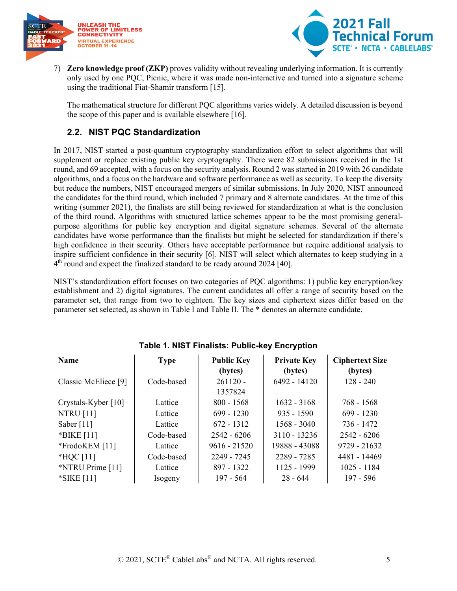



7) **Zero knowledge proof (ZKP)** proves validity without revealing underlying information. It is currently only used by one PQC, Picnic, where it was made non-interactive and turned into a signature scheme using the traditional Fiat-Shamir transform [15].

The mathematical structure for different PQC algorithms varies widely. A detailed discussion is beyond the scope of this paper and is available elsewhere [16].

## <span id="page-4-0"></span>**2.2. NIST PQC Standardization**

In 2017, NIST started a post-quantum cryptography standardization effort to select algorithms that will supplement or replace existing public key cryptography. There were 82 submissions received in the 1st round, and 69 accepted, with a focus on the security analysis. Round 2 was started in 2019 with 26 candidate algorithms, and a focus on the hardware and software performance as well as security. To keep the diversity but reduce the numbers, NIST encouraged mergers of similar submissions. In July 2020, NIST announced the candidates for the third round, which included 7 primary and 8 alternate candidates. At the time of this writing (summer 2021), the finalists are still being reviewed for standardization at what is the conclusion of the third round. Algorithms with structured lattice schemes appear to be the most promising generalpurpose algorithms for public key encryption and digital signature schemes. Several of the alternate candidates have worse performance than the finalists but might be selected for standardization if there's high confidence in their security. Others have acceptable performance but require additional analysis to inspire sufficient confidence in their security [6]. NIST will select which alternates to keep studying in a  $4<sup>th</sup>$  round and expect the finalized standard to be ready around 2024 [40].

NIST's standardization effort focuses on two categories of PQC algorithms: 1) public key encryption/key establishment and 2) digital signatures. The current candidates all offer a range of security based on the parameter set, that range from two to eighteen. The key sizes and ciphertext sizes differ based on the parameter set selected, as shown in Table I and Table II. The \* denotes an alternate candidate.

<span id="page-4-1"></span>

| <b>Name</b>          | <b>Type</b> | <b>Public Key</b> | <b>Private Key</b> | <b>Ciphertext Size</b> |
|----------------------|-------------|-------------------|--------------------|------------------------|
|                      |             | (bytes)           | (bytes)            | (bytes)                |
| Classic McEliece [9] | Code-based  | $261120 -$        | 6492 - 14120       | $128 - 240$            |
|                      |             | 1357824           |                    |                        |
| Crystals-Kyber [10]  | Lattice     | $800 - 1568$      | $1632 - 3168$      | 768 - 1568             |
| <b>NTRU</b> [11]     | Lattice     | $699 - 1230$      | $935 - 1590$       | $699 - 1230$           |
| Saber $[11]$         | Lattice     | $672 - 1312$      | $1568 - 3040$      | 736 - 1472             |
| *BIKE [11]           | Code-based  | $2542 - 6206$     | $3110 - 13236$     | $2542 - 6206$          |
| *FrodoKEM [11]       | Lattice     | $9616 - 21520$    | 19888 - 43088      | $9729 - 21632$         |
| $*HQC[11]$           | Code-based  | 2249 - 7245       | 2289 - 7285        | 4481 - 14469           |
| *NTRU Prime [11]     | Lattice     | 897 - 1322        | 1125 - 1999        | $1025 - 1184$          |
| *SIKE [11]           | Isogeny     | $197 - 564$       | $28 - 644$         | $197 - 596$            |

#### **Table 1. NIST Finalists: Public-key Encryption**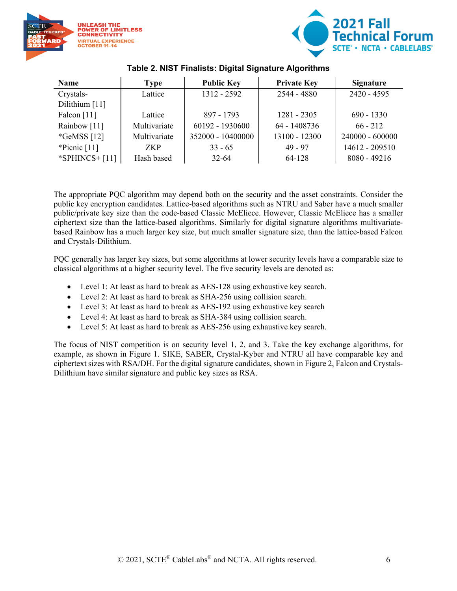



<span id="page-5-0"></span>

| <b>Name</b>      | Type         | <b>Public Key</b> | <b>Private Key</b> | <b>Signature</b> |
|------------------|--------------|-------------------|--------------------|------------------|
| Crystals-        | Lattice      | $1312 - 2592$     | $2544 - 4880$      | $2420 - 4595$    |
| Dilithium [11]   |              |                   |                    |                  |
| Falcon [11]      | Lattice      | 897 - 1793        | $1281 - 2305$      | $690 - 1330$     |
| Rainbow [11]     | Multivariate | 60192 - 1930600   | 64 - 1408736       | $66 - 212$       |
| $*GeMSS [12]$    | Multivariate | 352000 - 10400000 | 13100 - 12300      | 240000 - 600000  |
| *Picnic $[11]$   | <b>ZKP</b>   | $33 - 65$         | $49 - 97$          | 14612 - 209510   |
| *SPHINCS+ $[11]$ | Hash based   | $32 - 64$         | 64-128             | $8080 - 49216$   |

#### **Table 2. NIST Finalists: Digital Signature Algorithms**

The appropriate PQC algorithm may depend both on the security and the asset constraints. Consider the public key encryption candidates. Lattice-based algorithms such as NTRU and Saber have a much smaller public/private key size than the code-based Classic McEliece. However, Classic McEliece has a smaller ciphertext size than the lattice-based algorithms. Similarly for digital signature algorithms multivariatebased Rainbow has a much larger key size, but much smaller signature size, than the lattice-based Falcon and Crystals-Dilithium.

PQC generally has larger key sizes, but some algorithms at lower security levels have a comparable size to classical algorithms at a higher security level. The five security levels are denoted as:

- Level 1: At least as hard to break as AES-128 using exhaustive key search.
- Level 2: At least as hard to break as SHA-256 using collision search.
- Level 3: At least as hard to break as AES-192 using exhaustive key search
- Level 4: At least as hard to break as SHA-384 using collision search.
- Level 5: At least as hard to break as AES-256 using exhaustive key search.

The focus of NIST competition is on security level 1, 2, and 3. Take the key exchange algorithms, for example, as shown in Figure 1. SIKE, SABER, Crystal-Kyber and NTRU all have comparable key and ciphertext sizes with RSA/DH. For the digital signature candidates, shown in Figure 2, Falcon and Crystals-Dilithium have similar signature and public key sizes as RSA.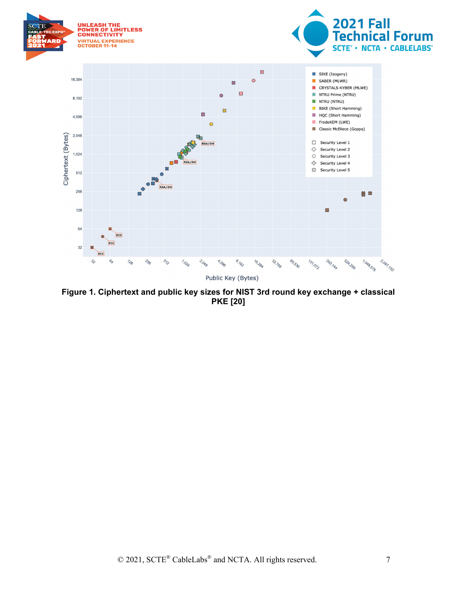

<span id="page-6-0"></span>**Figure 1. Ciphertext and public key sizes for NIST 3rd round key exchange + classical PKE [20]**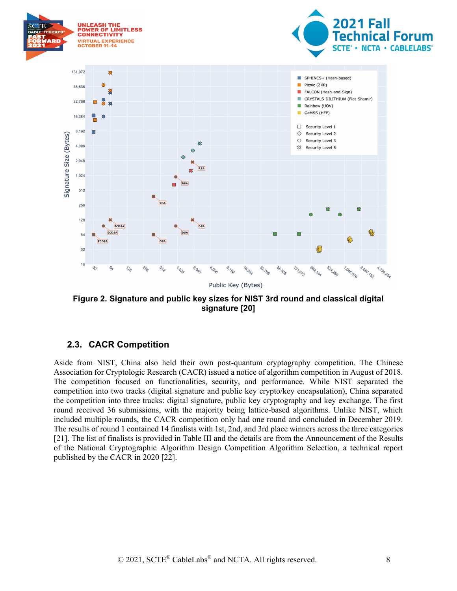

<span id="page-7-1"></span>**Figure 2. Signature and public key sizes for NIST 3rd round and classical digital signature [20]**

## <span id="page-7-0"></span>**2.3. CACR Competition**

Aside from NIST, China also held their own post-quantum cryptography competition. The Chinese Association for Cryptologic Research (CACR) issued a notice of algorithm competition in August of 2018. The competition focused on functionalities, security, and performance. While NIST separated the competition into two tracks (digital signature and public key crypto/key encapsulation), China separated the competition into three tracks: digital signature, public key cryptography and key exchange. The first round received 36 submissions, with the majority being lattice-based algorithms. Unlike NIST, which included multiple rounds, the CACR competition only had one round and concluded in December 2019. The results of round 1 contained 14 finalists with 1st, 2nd, and 3rd place winners across the three categories [21]. The list of finalists is provided in Table III and the details are from the Announcement of the Results of the National Cryptographic Algorithm Design Competition Algorithm Selection, a technical report published by the CACR in 2020 [22].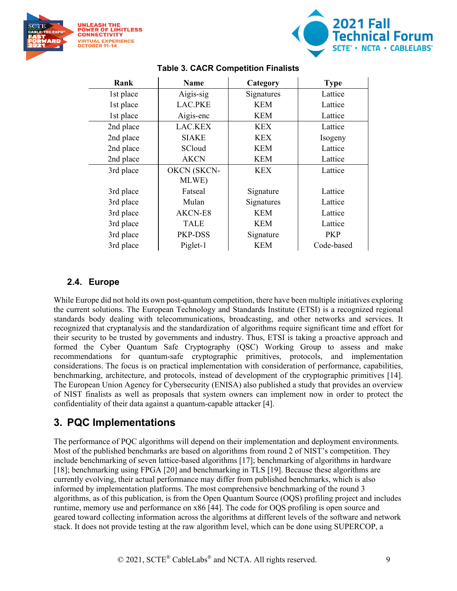



<span id="page-8-2"></span>

| Rank      | Name           | Category   | <b>Type</b> |
|-----------|----------------|------------|-------------|
| 1st place | Aigis-sig      | Signatures | Lattice     |
| 1st place | <b>LAC.PKE</b> | <b>KEM</b> | Lattice     |
| 1st place | Aigis-enc      | <b>KEM</b> | Lattice     |
| 2nd place | LAC.KEX        | <b>KEX</b> | Lattice     |
| 2nd place | <b>SIAKE</b>   | <b>KEX</b> | Isogeny     |
| 2nd place | SCloud         | <b>KEM</b> | Lattice     |
| 2nd place | <b>AKCN</b>    | <b>KEM</b> | Lattice     |
| 3rd place | OKCN (SKCN-    | <b>KEX</b> | Lattice     |
|           | MLWE)          |            |             |
| 3rd place | Fatseal        | Signature  | Lattice     |
| 3rd place | Mulan          | Signatures | Lattice     |
| 3rd place | AKCN-E8        | KEM        | Lattice     |
| 3rd place | <b>TALE</b>    | <b>KEM</b> | Lattice     |
| 3rd place | PKP-DSS        | Signature  | <b>PKP</b>  |
| 3rd place | Piglet-1       | <b>KEM</b> | Code-based  |

#### **Table 3. CACR Competition Finalists**

#### <span id="page-8-0"></span>**2.4. Europe**

While Europe did not hold its own post-quantum competition, there have been multiple initiatives exploring the current solutions. The European Technology and Standards Institute (ETSI) is a recognized regional standards body dealing with telecommunications, broadcasting, and other networks and services. It recognized that cryptanalysis and the standardization of algorithms require significant time and effort for their security to be trusted by governments and industry. Thus, ETSI is taking a proactive approach and formed the Cyber Quantum Safe Cryptography (QSC) Working Group to assess and make recommendations for quantum-safe cryptographic primitives, protocols, and implementation considerations. The focus is on practical implementation with consideration of performance, capabilities, benchmarking, architecture, and protocols, instead of development of the cryptographic primitives [14]. The European Union Agency for Cybersecurity (ENISA) also published a study that provides an overview of NIST finalists as well as proposals that system owners can implement now in order to protect the confidentiality of their data against a quantum-capable attacker [4].

## <span id="page-8-1"></span>**3. PQC Implementations**

The performance of PQC algorithms will depend on their implementation and deployment environments. Most of the published benchmarks are based on algorithms from round 2 of NIST's competition. They include benchmarking of seven lattice-based algorithms [17]; benchmarking of algorithms in hardware [18]; benchmarking using FPGA [20] and benchmarking in TLS [19]. Because these algorithms are currently evolving, their actual performance may differ from published benchmarks, which is also informed by implementation platforms. The most comprehensive benchmarking of the round 3 algorithms, as of this publication, is from the Open Quantum Source (OQS) profiling project and includes runtime, memory use and performance on x86 [44]. The code for OQS profiling is open source and geared toward collecting information across the algorithms at different levels of the software and network stack. It does not provide testing at the raw algorithm level, which can be done using SUPERCOP, a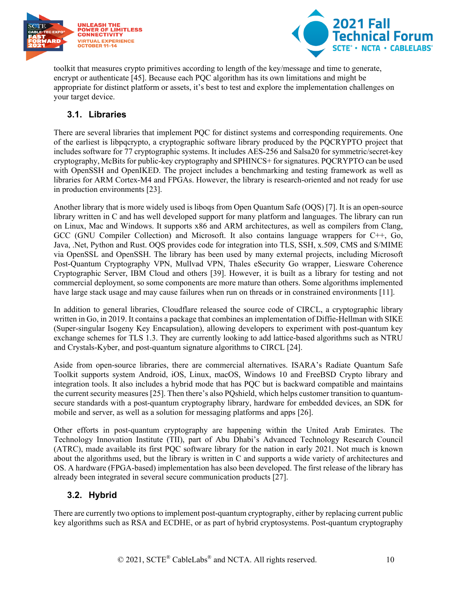



toolkit that measures crypto primitives according to length of the key/message and time to generate, encrypt or authenticate [45]. Because each PQC algorithm has its own limitations and might be appropriate for distinct platform or assets, it's best to test and explore the implementation challenges on your target device.

## <span id="page-9-0"></span>**3.1. Libraries**

There are several libraries that implement PQC for distinct systems and corresponding requirements. One of the earliest is libpqcrypto, a cryptographic software library produced by the PQCRYPTO project that includes software for 77 cryptographic systems. It includes AES-256 and Salsa20 for symmetric/secret-key cryptography, McBits for public-key cryptography and SPHINCS+ for signatures. PQCRYPTO can be used with OpenSSH and OpenIKED. The project includes a benchmarking and testing framework as well as libraries for ARM Cortex-M4 and FPGAs. However, the library is research-oriented and not ready for use in production environments [23].

Another library that is more widely used is liboqs from Open Quantum Safe (OQS) [7]. It is an open-source library written in C and has well developed support for many platform and languages. The library can run on Linux, Mac and Windows. It supports x86 and ARM architectures, as well as compilers from Clang, GCC (GNU Compiler Collection) and Microsoft. It also contains language wrappers for C++, Go, Java, .Net, Python and Rust. OQS provides code for integration into TLS, SSH, x.509, CMS and S/MIME via OpenSSL and OpenSSH. The library has been used by many external projects, including Microsoft Post-Quantum Cryptography VPN, Mullvad VPN, Thales eSecurity Go wrapper, Liesware Coherence Cryptographic Server, IBM Cloud and others [39]. However, it is built as a library for testing and not commercial deployment, so some components are more mature than others. Some algorithms implemented have large stack usage and may cause failures when run on threads or in constrained environments [11].

In addition to general libraries, Cloudflare released the source code of CIRCL, a cryptographic library written in Go, in 2019. It contains a package that combines an implementation of Diffie-Hellman with SIKE (Super-singular Isogeny Key Encapsulation), allowing developers to experiment with post-quantum key exchange schemes for TLS 1.3. They are currently looking to add lattice-based algorithms such as NTRU and Crystals-Kyber, and post-quantum signature algorithms to CIRCL [24].

Aside from open-source libraries, there are commercial alternatives. ISARA's Radiate Quantum Safe Toolkit supports system Android, iOS, Linux, macOS, Windows 10 and FreeBSD Crypto library and integration tools. It also includes a hybrid mode that has PQC but is backward compatible and maintains the current security measures [25]. Then there's also PQshield, which helps customer transition to quantumsecure standards with a post-quantum cryptography library, hardware for embedded devices, an SDK for mobile and server, as well as a solution for messaging platforms and apps [26].

Other efforts in post-quantum cryptography are happening within the United Arab Emirates. The Technology Innovation Institute (TII), part of Abu Dhabi's Advanced Technology Research Council (ATRC), made available its first PQC software library for the nation in early 2021. Not much is known about the algorithms used, but the library is written in C and supports a wide variety of architectures and OS. A hardware (FPGA-based) implementation has also been developed. The first release of the library has already been integrated in several secure communication products [27].

## <span id="page-9-1"></span>**3.2. Hybrid**

There are currently two options to implement post-quantum cryptography, either by replacing current public key algorithms such as RSA and ECDHE, or as part of hybrid cryptosystems. Post-quantum cryptography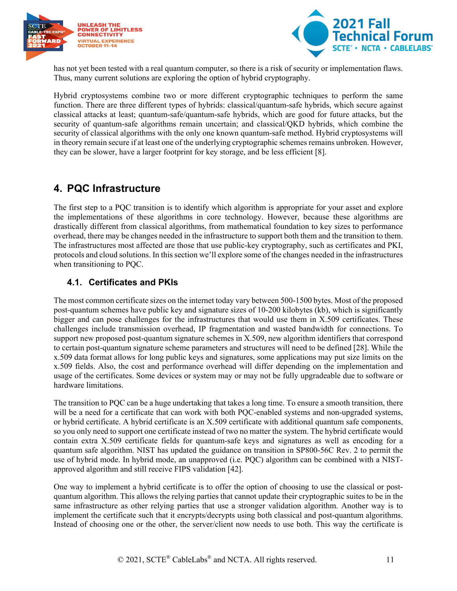



has not yet been tested with a real quantum computer, so there is a risk of security or implementation flaws. Thus, many current solutions are exploring the option of hybrid cryptography.

Hybrid cryptosystems combine two or more different cryptographic techniques to perform the same function. There are three different types of hybrids: classical/quantum-safe hybrids, which secure against classical attacks at least; quantum-safe/quantum-safe hybrids, which are good for future attacks, but the security of quantum-safe algorithms remain uncertain; and classical/QKD hybrids, which combine the security of classical algorithms with the only one known quantum-safe method. Hybrid cryptosystems will in theory remain secure if at least one of the underlying cryptographic schemes remains unbroken. However, they can be slower, have a larger footprint for key storage, and be less efficient [8].

## <span id="page-10-0"></span>**4. PQC Infrastructure**

The first step to a PQC transition is to identify which algorithm is appropriate for your asset and explore the implementations of these algorithms in core technology. However, because these algorithms are drastically different from classical algorithms, from mathematical foundation to key sizes to performance overhead, there may be changes needed in the infrastructure to support both them and the transition to them. The infrastructures most affected are those that use public-key cryptography, such as certificates and PKI, protocols and cloud solutions. In this section we'll explore some of the changes needed in the infrastructures when transitioning to PQC.

### <span id="page-10-1"></span>**4.1. Certificates and PKIs**

The most common certificate sizes on the internet today vary between 500-1500 bytes. Most of the proposed post-quantum schemes have public key and signature sizes of 10-200 kilobytes (kb), which is significantly bigger and can pose challenges for the infrastructures that would use them in X.509 certificates. These challenges include transmission overhead, IP fragmentation and wasted bandwidth for connections. To support new proposed post-quantum signature schemes in X.509, new algorithm identifiers that correspond to certain post-quantum signature scheme parameters and structures will need to be defined [28]. While the x.509 data format allows for long public keys and signatures, some applications may put size limits on the x.509 fields. Also, the cost and performance overhead will differ depending on the implementation and usage of the certificates. Some devices or system may or may not be fully upgradeable due to software or hardware limitations.

The transition to PQC can be a huge undertaking that takes a long time. To ensure a smooth transition, there will be a need for a certificate that can work with both PQC-enabled systems and non-upgraded systems, or hybrid certificate. A hybrid certificate is an X.509 certificate with additional quantum safe components, so you only need to support one certificate instead of two no matter the system. The hybrid certificate would contain extra X.509 certificate fields for quantum-safe keys and signatures as well as encoding for a quantum safe algorithm. NIST has updated the guidance on transition in SP800-56C Rev. 2 to permit the use of hybrid mode. In hybrid mode, an unapproved (i.e. PQC) algorithm can be combined with a NISTapproved algorithm and still receive FIPS validation [42].

One way to implement a hybrid certificate is to offer the option of choosing to use the classical or postquantum algorithm. This allows the relying parties that cannot update their cryptographic suites to be in the same infrastructure as other relying parties that use a stronger validation algorithm. Another way is to implement the certificate such that it encrypts/decrypts using both classical and post-quantum algorithms. Instead of choosing one or the other, the server/client now needs to use both. This way the certificate is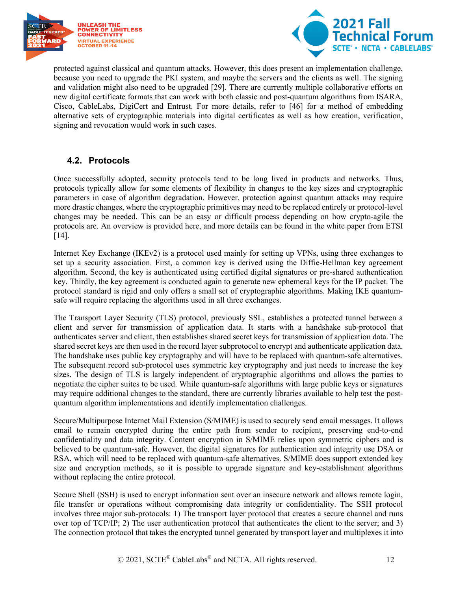



protected against classical and quantum attacks. However, this does present an implementation challenge, because you need to upgrade the PKI system, and maybe the servers and the clients as well. The signing and validation might also need to be upgraded [29]. There are currently multiple collaborative efforts on new digital certificate formats that can work with both classic and post-quantum algorithms from ISARA, Cisco, CableLabs, DigiCert and Entrust. For more details, refer to [46] for a method of embedding alternative sets of cryptographic materials into digital certificates as well as how creation, verification, signing and revocation would work in such cases.

## <span id="page-11-0"></span>**4.2. Protocols**

Once successfully adopted, security protocols tend to be long lived in products and networks. Thus, protocols typically allow for some elements of flexibility in changes to the key sizes and cryptographic parameters in case of algorithm degradation. However, protection against quantum attacks may require more drastic changes, where the cryptographic primitives may need to be replaced entirely or protocol-level changes may be needed. This can be an easy or difficult process depending on how crypto-agile the protocols are. An overview is provided here, and more details can be found in the white paper from ETSI [14].

Internet Key Exchange (IKEv2) is a protocol used mainly for setting up VPNs, using three exchanges to set up a security association. First, a common key is derived using the Diffie-Hellman key agreement algorithm. Second, the key is authenticated using certified digital signatures or pre-shared authentication key. Thirdly, the key agreement is conducted again to generate new ephemeral keys for the IP packet. The protocol standard is rigid and only offers a small set of cryptographic algorithms. Making IKE quantumsafe will require replacing the algorithms used in all three exchanges.

The Transport Layer Security (TLS) protocol, previously SSL, establishes a protected tunnel between a client and server for transmission of application data. It starts with a handshake sub-protocol that authenticates server and client, then establishes shared secret keys for transmission of application data. The shared secret keys are then used in the record layer subprotocol to encrypt and authenticate application data. The handshake uses public key cryptography and will have to be replaced with quantum-safe alternatives. The subsequent record sub-protocol uses symmetric key cryptography and just needs to increase the key sizes. The design of TLS is largely independent of cryptographic algorithms and allows the parties to negotiate the cipher suites to be used. While quantum-safe algorithms with large public keys or signatures may require additional changes to the standard, there are currently libraries available to help test the postquantum algorithm implementations and identify implementation challenges.

Secure/Multipurpose Internet Mail Extension (S/MIME) is used to securely send email messages. It allows email to remain encrypted during the entire path from sender to recipient, preserving end-to-end confidentiality and data integrity. Content encryption in S/MIME relies upon symmetric ciphers and is believed to be quantum-safe. However, the digital signatures for authentication and integrity use DSA or RSA, which will need to be replaced with quantum-safe alternatives. S/MIME does support extended key size and encryption methods, so it is possible to upgrade signature and key-establishment algorithms without replacing the entire protocol.

Secure Shell (SSH) is used to encrypt information sent over an insecure network and allows remote login, file transfer or operations without compromising data integrity or confidentiality. The SSH protocol involves three major sub-protocols: 1) The transport layer protocol that creates a secure channel and runs over top of TCP/IP; 2) The user authentication protocol that authenticates the client to the server; and 3) The connection protocol that takes the encrypted tunnel generated by transport layer and multiplexes it into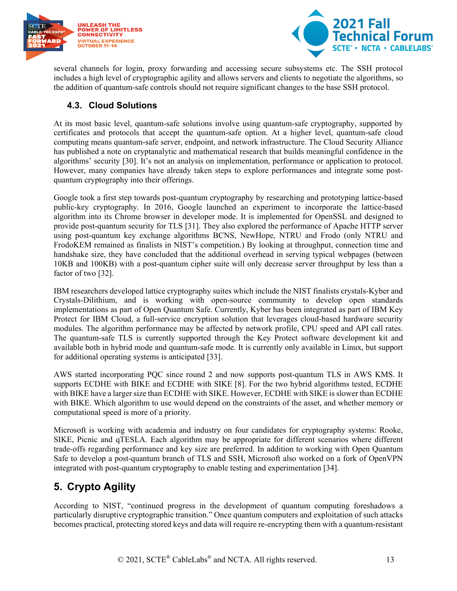



several channels for login, proxy forwarding and accessing secure subsystems etc. The SSH protocol includes a high level of cryptographic agility and allows servers and clients to negotiate the algorithms, so the addition of quantum-safe controls should not require significant changes to the base SSH protocol.

### <span id="page-12-0"></span>**4.3. Cloud Solutions**

At its most basic level, quantum-safe solutions involve using quantum-safe cryptography, supported by certificates and protocols that accept the quantum-safe option. At a higher level, quantum-safe cloud computing means quantum-safe server, endpoint, and network infrastructure. The Cloud Security Alliance has published a note on cryptanalytic and mathematical research that builds meaningful confidence in the algorithms' security [30]. It's not an analysis on implementation, performance or application to protocol. However, many companies have already taken steps to explore performances and integrate some postquantum cryptography into their offerings.

Google took a first step towards post-quantum cryptography by researching and prototyping lattice-based public-key cryptography. In 2016, Google launched an experiment to incorporate the lattice-based algorithm into its Chrome browser in developer mode. It is implemented for OpenSSL and designed to provide post-quantum security for TLS [31]. They also explored the performance of Apache HTTP server using post-quantum key exchange algorithms BCNS, NewHope, NTRU and Frodo (only NTRU and FrodoKEM remained as finalists in NIST's competition.) By looking at throughput, connection time and handshake size, they have concluded that the additional overhead in serving typical webpages (between 10KB and 100KB) with a post-quantum cipher suite will only decrease server throughput by less than a factor of two [32].

IBM researchers developed lattice cryptography suites which include the NIST finalists crystals-Kyber and Crystals-Dilithium, and is working with open-source community to develop open standards implementations as part of Open Quantum Safe. Currently, Kyber has been integrated as part of IBM Key Protect for IBM Cloud, a full-service encryption solution that leverages cloud-based hardware security modules. The algorithm performance may be affected by network profile, CPU speed and API call rates. The quantum-safe TLS is currently supported through the Key Protect software development kit and available both in hybrid mode and quantum-safe mode. It is currently only available in Linux, but support for additional operating systems is anticipated [33].

AWS started incorporating PQC since round 2 and now supports post-quantum TLS in AWS KMS. It supports ECDHE with BIKE and ECDHE with SIKE [8]. For the two hybrid algorithms tested, ECDHE with BIKE have a larger size than ECDHE with SIKE. However, ECDHE with SIKE is slower than ECDHE with BIKE. Which algorithm to use would depend on the constraints of the asset, and whether memory or computational speed is more of a priority.

Microsoft is working with academia and industry on four candidates for cryptography systems: Rooke, SIKE, Picnic and qTESLA. Each algorithm may be appropriate for different scenarios where different trade-offs regarding performance and key size are preferred. In addition to working with Open Quantum Safe to develop a post-quantum branch of TLS and SSH, Microsoft also worked on a fork of OpenVPN integrated with post-quantum cryptography to enable testing and experimentation [34].

# <span id="page-12-1"></span>**5. Crypto Agility**

According to NIST, "continued progress in the development of quantum computing foreshadows a particularly disruptive cryptographic transition." Once quantum computers and exploitation of such attacks becomes practical, protecting stored keys and data will require re-encrypting them with a quantum-resistant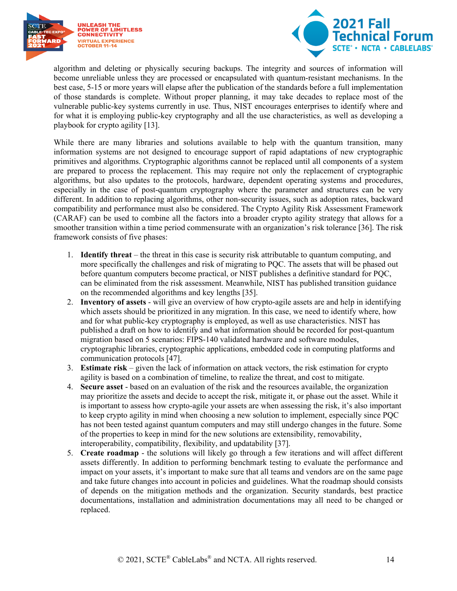



algorithm and deleting or physically securing backups. The integrity and sources of information will become unreliable unless they are processed or encapsulated with quantum-resistant mechanisms. In the best case, 5-15 or more years will elapse after the publication of the standards before a full implementation of those standards is complete. Without proper planning, it may take decades to replace most of the vulnerable public-key systems currently in use. Thus, NIST encourages enterprises to identify where and for what it is employing public-key cryptography and all the use characteristics, as well as developing a playbook for crypto agility [13].

While there are many libraries and solutions available to help with the quantum transition, many information systems are not designed to encourage support of rapid adaptations of new cryptographic primitives and algorithms. Cryptographic algorithms cannot be replaced until all components of a system are prepared to process the replacement. This may require not only the replacement of cryptographic algorithms, but also updates to the protocols, hardware, dependent operating systems and procedures, especially in the case of post-quantum cryptography where the parameter and structures can be very different. In addition to replacing algorithms, other non-security issues, such as adoption rates, backward compatibility and performance must also be considered. The Crypto Agility Risk Assessment Framework (CARAF) can be used to combine all the factors into a broader crypto agility strategy that allows for a smoother transition within a time period commensurate with an organization's risk tolerance [36]. The risk framework consists of five phases:

- 1. **Identify threat** the threat in this case is security risk attributable to quantum computing, and more specifically the challenges and risk of migrating to PQC. The assets that will be phased out before quantum computers become practical, or NIST publishes a definitive standard for PQC, can be eliminated from the risk assessment. Meanwhile, NIST has published transition guidance on the recommended algorithms and key lengths [35].
- 2. **Inventory of assets** will give an overview of how crypto-agile assets are and help in identifying which assets should be prioritized in any migration. In this case, we need to identify where, how and for what public-key cryptography is employed, as well as use characteristics. NIST has published a draft on how to identify and what information should be recorded for post-quantum migration based on 5 scenarios: FIPS-140 validated hardware and software modules, cryptographic libraries, cryptographic applications, embedded code in computing platforms and communication protocols [47].
- 3. **Estimate risk** given the lack of information on attack vectors, the risk estimation for crypto agility is based on a combination of timeline, to realize the threat, and cost to mitigate.
- 4. **Secure asset** based on an evaluation of the risk and the resources available, the organization may prioritize the assets and decide to accept the risk, mitigate it, or phase out the asset. While it is important to assess how crypto-agile your assets are when assessing the risk, it's also important to keep crypto agility in mind when choosing a new solution to implement, especially since PQC has not been tested against quantum computers and may still undergo changes in the future. Some of the properties to keep in mind for the new solutions are extensibility, removability, interoperability, compatibility, flexibility, and updatability [37].
- 5. **Create roadmap** the solutions will likely go through a few iterations and will affect different assets differently. In addition to performing benchmark testing to evaluate the performance and impact on your assets, it's important to make sure that all teams and vendors are on the same page and take future changes into account in policies and guidelines. What the roadmap should consists of depends on the mitigation methods and the organization. Security standards, best practice documentations, installation and administration documentations may all need to be changed or replaced.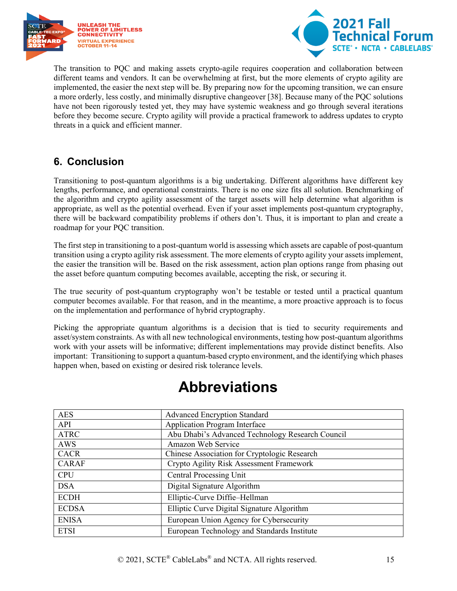



The transition to PQC and making assets crypto-agile requires cooperation and collaboration between different teams and vendors. It can be overwhelming at first, but the more elements of crypto agility are implemented, the easier the next step will be. By preparing now for the upcoming transition, we can ensure a more orderly, less costly, and minimally disruptive changeover [38]. Because many of the PQC solutions have not been rigorously tested yet, they may have systemic weakness and go through several iterations before they become secure. Crypto agility will provide a practical framework to address updates to crypto threats in a quick and efficient manner.

# <span id="page-14-0"></span>**6. Conclusion**

Transitioning to post-quantum algorithms is a big undertaking. Different algorithms have different key lengths, performance, and operational constraints. There is no one size fits all solution. Benchmarking of the algorithm and crypto agility assessment of the target assets will help determine what algorithm is appropriate, as well as the potential overhead. Even if your asset implements post-quantum cryptography, there will be backward compatibility problems if others don't. Thus, it is important to plan and create a roadmap for your PQC transition.

The first step in transitioning to a post-quantum world is assessing which assets are capable of post-quantum transition using a crypto agility risk assessment. The more elements of crypto agility your assets implement, the easier the transition will be. Based on the risk assessment, action plan options range from phasing out the asset before quantum computing becomes available, accepting the risk, or securing it.

The true security of post-quantum cryptography won't be testable or tested until a practical quantum computer becomes available. For that reason, and in the meantime, a more proactive approach is to focus on the implementation and performance of hybrid cryptography.

Picking the appropriate quantum algorithms is a decision that is tied to security requirements and asset/system constraints. As with all new technological environments, testing how post-quantum algorithms work with your assets will be informative; different implementations may provide distinct benefits. Also important: Transitioning to support a quantum-based crypto environment, and the identifying which phases happen when, based on existing or desired risk tolerance levels.

<span id="page-14-1"></span>

| <b>AES</b>   | <b>Advanced Encryption Standard</b>              |
|--------------|--------------------------------------------------|
| API          | <b>Application Program Interface</b>             |
| <b>ATRC</b>  | Abu Dhabi's Advanced Technology Research Council |
| <b>AWS</b>   | Amazon Web Service                               |
| <b>CACR</b>  | Chinese Association for Cryptologic Research     |
| <b>CARAF</b> | Crypto Agility Risk Assessment Framework         |
| <b>CPU</b>   | <b>Central Processing Unit</b>                   |
| <b>DSA</b>   | Digital Signature Algorithm                      |
| <b>ECDH</b>  | Elliptic-Curve Diffie-Hellman                    |
| <b>ECDSA</b> | Elliptic Curve Digital Signature Algorithm       |
| <b>ENISA</b> | European Union Agency for Cybersecurity          |
| <b>ETSI</b>  | European Technology and Standards Institute      |

# **Abbreviations**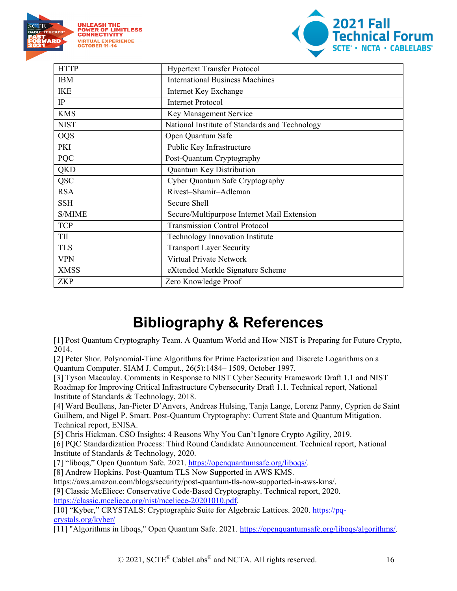



| <b>HTTP</b> | <b>Hypertext Transfer Protocol</b>             |
|-------------|------------------------------------------------|
| <b>IBM</b>  | <b>International Business Machines</b>         |
| <b>IKE</b>  | Internet Key Exchange                          |
| IP          | <b>Internet Protocol</b>                       |
| <b>KMS</b>  | Key Management Service                         |
| <b>NIST</b> | National Institute of Standards and Technology |
| <b>OQS</b>  | Open Quantum Safe                              |
| PKI         | Public Key Infrastructure                      |
| PQC         | Post-Quantum Cryptography                      |
| <b>QKD</b>  | Quantum Key Distribution                       |
| <b>QSC</b>  | Cyber Quantum Safe Cryptography                |
| <b>RSA</b>  | Rivest-Shamir-Adleman                          |
| <b>SSH</b>  | Secure Shell                                   |
| S/MIME      | Secure/Multipurpose Internet Mail Extension    |
| <b>TCP</b>  | <b>Transmission Control Protocol</b>           |
| TII         | Technology Innovation Institute                |
| <b>TLS</b>  | <b>Transport Layer Security</b>                |
| <b>VPN</b>  | Virtual Private Network                        |
| <b>XMSS</b> | eXtended Merkle Signature Scheme               |
| <b>ZKP</b>  | Zero Knowledge Proof                           |

# **Bibliography & References**

<span id="page-15-0"></span>[1] Post Quantum Cryptography Team. A Quantum World and How NIST is Preparing for Future Crypto, 2014.

[2] Peter Shor. Polynomial-Time Algorithms for Prime Factorization and Discrete Logarithms on a Quantum Computer. SIAM J. Comput., 26(5):1484– 1509, October 1997.

[3] Tyson Macaulay. Comments in Response to NIST Cyber Security Framework Draft 1.1 and NIST Roadmap for Improving Critical Infrastructure Cybersecurity Draft 1.1. Technical report, National Institute of Standards & Technology, 2018.

[4] Ward Beullens, Jan-Pieter D'Anvers, Andreas Hulsing, Tanja Lange, Lorenz Panny, Cyprien de Saint Guilhem, and Nigel P. Smart. Post-Quantum Cryptography: Current State and Quantum Mitigation. Technical report, ENISA.

[5] Chris Hickman. CSO Insights: 4 Reasons Why You Can't Ignore Crypto Agility, 2019.

[6] PQC Standardization Process: Third Round Candidate Announcement. Technical report, National Institute of Standards & Technology, 2020.

[7] "liboqs," Open Quantum Safe. 2021. [https://openquantumsafe.org/liboqs/.](https://openquantumsafe.org/liboqs/)

[8] Andrew Hopkins. Post-Quantum TLS Now Supported in AWS KMS.

https://aws.amazon.com/blogs/security/post-quantum-tls-now-supported-in-aws-kms/. [9] Classic McEliece: Conservative Code-Based Cryptography. Technical report, 2020. [https://classic.mceliece.org/nist/mceliece-20201010.pdf.](https://classic.mceliece.org/nist/mceliece-20201010.pdf)

[10] "Kyber," CRYSTALS: Cryptographic Suite for Algebraic Lattices. 2020. [https://pq](https://pq-crystals.org/kyber/)[crystals.org/kyber/](https://pq-crystals.org/kyber/)

[11] "Algorithms in liboqs," Open Quantum Safe. 2021. [https://openquantumsafe.org/liboqs/algorithms/.](https://openquantumsafe.org/liboqs/algorithms/)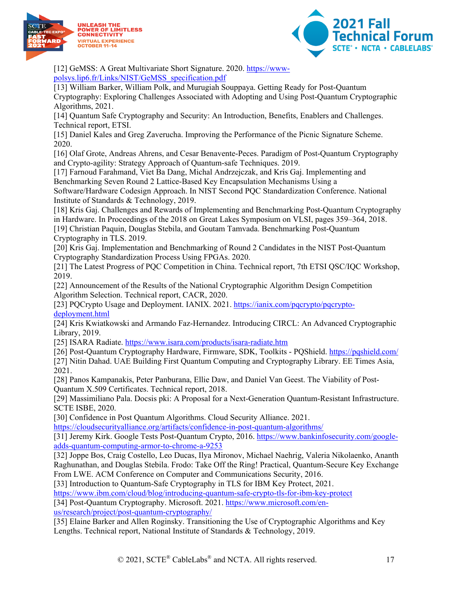



[12] GeMSS: A Great Multivariate Short Signature. 2020. [https://www](https://www-polsys.lip6.fr/Links/NIST/GeMSS_specification.pdf)[polsys.lip6.fr/Links/NIST/GeMSS\\_specification.pdf](https://www-polsys.lip6.fr/Links/NIST/GeMSS_specification.pdf)

[13] William Barker, William Polk, and Murugiah Souppaya. Getting Ready for Post-Quantum Cryptography: Exploring Challenges Associated with Adopting and Using Post-Quantum Cryptographic Algorithms, 2021.

[14] Quantum Safe Cryptography and Security: An Introduction, Benefits, Enablers and Challenges. Technical report, ETSI.

[15] Daniel Kales and Greg Zaverucha. Improving the Performance of the Picnic Signature Scheme. 2020.

[16] Olaf Grote, Andreas Ahrens, and Cesar Benavente-Peces. Paradigm of Post-Quantum Cryptography and Crypto-agility: Strategy Approach of Quantum-safe Techniques. 2019.

[17] Farnoud Farahmand, Viet Ba Dang, Michal Andrzejczak, and Kris Gaj. Implementing and Benchmarking Seven Round 2 Lattice-Based Key Encapsulation Mechanisms Using a

Software/Hardware Codesign Approach. In NIST Second PQC Standardization Conference. National Institute of Standards & Technology, 2019.

[18] Kris Gaj. Challenges and Rewards of Implementing and Benchmarking Post-Quantum Cryptography in Hardware. In Proceedings of the 2018 on Great Lakes Symposium on VLSI, pages 359–364, 2018.

[19] Christian Paquin, Douglas Stebila, and Goutam Tamvada. Benchmarking Post-Quantum Cryptography in TLS. 2019.

[20] Kris Gaj. Implementation and Benchmarking of Round 2 Candidates in the NIST Post-Quantum Cryptography Standardization Process Using FPGAs. 2020.

[21] The Latest Progress of PQC Competition in China. Technical report, 7th ETSI QSC/IQC Workshop, 2019.

[22] Announcement of the Results of the National Cryptographic Algorithm Design Competition Algorithm Selection. Technical report, CACR, 2020.

[23] PQCrypto Usage and Deployment. IANIX. 2021. [https://ianix.com/pqcrypto/pqcrypto](https://ianix.com/pqcrypto/pqcrypto-deployment.html)[deployment.html](https://ianix.com/pqcrypto/pqcrypto-deployment.html)

[24] Kris Kwiatkowski and Armando Faz-Hernandez. Introducing CIRCL: An Advanced Cryptographic Library, 2019.

[25] ISARA Radiate.<https://www.isara.com/products/isara-radiate.htm>

[26] Post-Quantum Cryptography Hardware, Firmware, SDK, Toolkits - PQShield.<https://pqshield.com/>

[27] Nitin Dahad. UAE Building First Quantum Computing and Cryptography Library. EE Times Asia, 2021.

[28] Panos Kampanakis, Peter Panburana, Ellie Daw, and Daniel Van Geest. The Viability of Post-Quantum X.509 Certificates. Technical report, 2018.

[29] Massimiliano Pala. Docsis pki: A Proposal for a Next-Generation Quantum-Resistant Infrastructure. SCTE ISBE, 2020.

[30] Confidence in Post Quantum Algorithms. Cloud Security Alliance. 2021.

<https://cloudsecurityalliance.org/artifacts/confidence-in-post-quantum-algorithms/>

[31] Jeremy Kirk. Google Tests Post-Quantum Crypto, 2016. [https://www.bankinfosecurity.com/google](https://www.bankinfosecurity.com/google-adds-quantum-computing-armor-to-chrome-a-9253)[adds-quantum-computing-armor-to-chrome-a-9253](https://www.bankinfosecurity.com/google-adds-quantum-computing-armor-to-chrome-a-9253)

[32] Joppe Bos, Craig Costello, Leo Ducas, Ilya Mironov, Michael Naehrig, Valeria Nikolaenko, Ananth Raghunathan, and Douglas Stebila. Frodo: Take Off the Ring! Practical, Quantum-Secure Key Exchange From LWE. ACM Conference on Computer and Communications Security, 2016.

[33] Introduction to Quantum-Safe Cryptography in TLS for IBM Key Protect, 2021.

<https://www.ibm.com/cloud/blog/introducing-quantum-safe-crypto-tls-for-ibm-key-protect>

[34] Post-Quantum Cryptography. Microsoft. 2021. [https://www.microsoft.com/en](https://www.microsoft.com/en-us/research/project/post-quantum-cryptography/)[us/research/project/post-quantum-cryptography/](https://www.microsoft.com/en-us/research/project/post-quantum-cryptography/)

[35] Elaine Barker and Allen Roginsky. Transitioning the Use of Cryptographic Algorithms and Key Lengths. Technical report, National Institute of Standards & Technology, 2019.